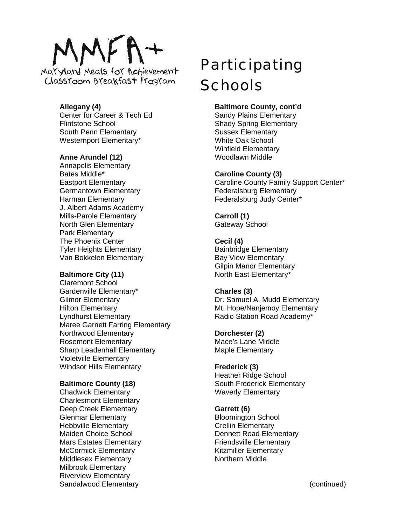# $MFA+$

Maryland Meals for Achievement Classroom Breakfast Program

# **Allegany (4)**

Center for Career & Tech Ed Flintstone School South Penn Elementary Westernport Elementary\*

# **Anne Arundel (12)**

Annapolis Elementary Bates Middle\* Eastport Elementary Germantown Elementary Harman Elementary J. Albert Adams Academy Mills-Parole Elementary North Glen Elementary Park Elementary The Phoenix Center Tyler Heights Elementary Van Bokkelen Elementary

# **Baltimore City (11)**

Claremont School Gardenville Elementary\* Gilmor Elementary Hilton Elementary Lyndhurst Elementary Maree Garnett Farring Elementary Northwood Elementary Rosemont Elementary Sharp Leadenhall Elementary Violetville Elementary Windsor Hills Elementary

# **Baltimore County (18)**

Chadwick Elementary Charlesmont Elementary Deep Creek Elementary Glenmar Elementary Hebbville Elementary Maiden Choice School Mars Estates Elementary McCormick Elementary Middlesex Elementary Milbrook Elementary Riverview Elementary Sandalwood Elementary

# Participating **Schools**

# **Baltimore County, cont'd**

Sandy Plains Elementary Shady Spring Elementary Sussex Elementary White Oak School Winfield Elementary Woodlawn Middle

# **Caroline County (3)**

Caroline County Family Support Center\* Federalsburg Elementary Federalsburg Judy Center\*

**Carroll (1)**  Gateway School

# **Cecil (4)**

Bainbridge Elementary Bay View Elementary Gilpin Manor Elementary North East Elementary\*

# **Charles (3)**

Dr. Samuel A. Mudd Elementary Mt. Hope/Nanjemoy Elementary Radio Station Road Academy\*

# **Dorchester (2)**

Mace's Lane Middle Maple Elementary

# **Frederick (3)**

Heather Ridge School South Frederick Elementary Waverly Elementary

# **Garrett (6)**

Bloomington School Crellin Elementary Dennett Road Elementary Friendsville Elementary Kitzmiller Elementary Northern Middle

(continued)